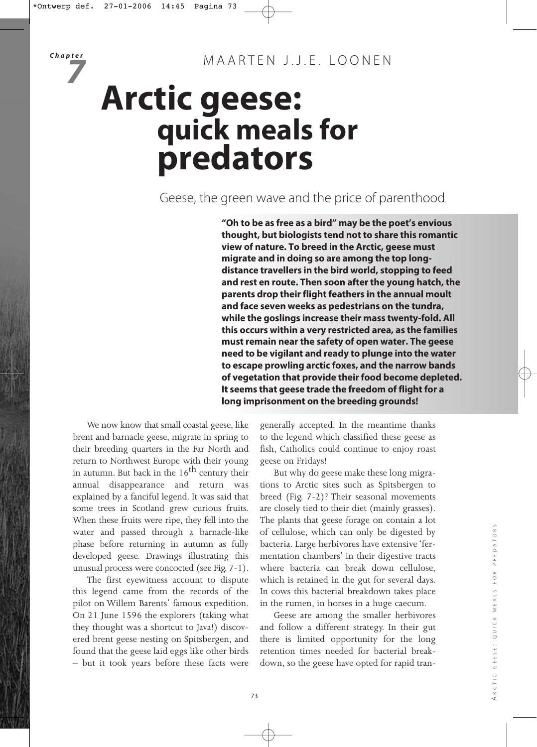# **Arctic geese: quick meals for predators**

Geese, the green wave and the price of parenthood

**"Oh to be as free as a bird" may be the poet's envious thought, but biologists tend not to share this romantic view of nature. To breed in the Arctic, geese must migrate and in doing so are among the top longdistance travellers in the bird world, stopping to feed and rest en route. Then soon after the young hatch, the parents drop their flight feathers in the annual moult and face seven weeks as pedestrians on the tundra, while the goslings increase their mass twenty-fold. All this occurs within a very restricted area, as the families must remain near the safety of open water. The geese need to be vigilant and ready to plunge into the water to escape prowling arctic foxes, and the narrow bands of vegetation that provide their food become depleted. It seems that geese trade the freedom of flight for a long imprisonment on the breeding grounds!**

We now know that small coastal geese, like brent and barnacle geese, migrate in spring to their breeding quarters in the Far North and return to Northwest Europe with their young in autumn. But back in the  $16<sup>th</sup>$  century their annual disappearance and return was explained by a fanciful legend. It was said that some trees in Scotland grew curious fruits. When these fruits were ripe, they fell into the water and passed through a barnacle-like phase before returning in autumn as fully developed geese. Drawings illustrating this unusual process were concocted (see Fig. 7-1).

The first eyewitness account to dispute this legend came from the records of the pilot on Willem Barents' famous expedition. On 21 June 1596 the explorers (taking what they thought was a shortcut to Java!) discovered brent geese nesting on Spitsbergen, and found that the geese laid eggs like other birds – but it took years before these facts were

generally accepted. In the meantime thanks to the legend which classified these geese as fish, Catholics could continue to enjoy roast geese on Fridays!

But why do geese make these long migrations to Arctic sites such as Spitsbergen to breed (Fig. 7-2)? Their seasonal movements are closely tied to their diet (mainly grasses). The plants that geese forage on contain a lot of cellulose, which can only be digested by bacteria. Large herbivores have extensive 'fermentation chambers' in their digestive tracts where bacteria can break down cellulose, which is retained in the gut for several days. In cows this bacterial breakdown takes place in the rumen, in horses in a huge caecum.

Geese are among the smaller herbivores and follow a different strategy. In their gut there is limited opportunity for the long retention times needed for bacterial breakdown, so the geese have opted for rapid tran-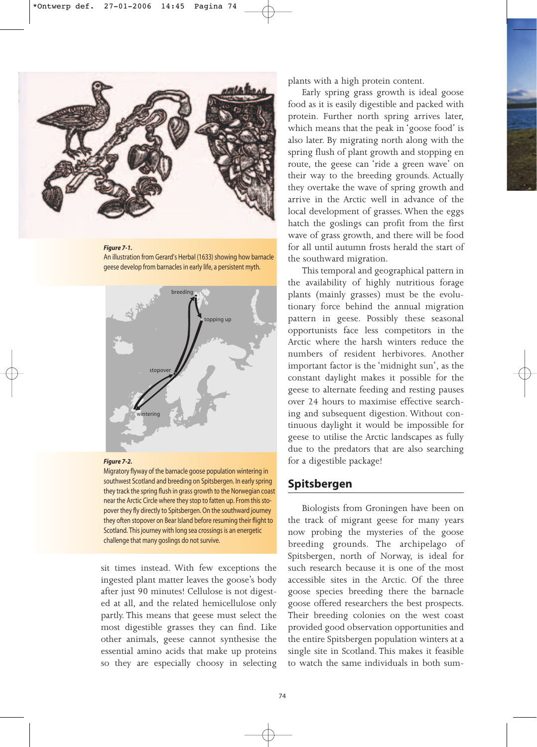

#### *Figure 7-1.*

An illustration from Gerard's Herbal (1633) showing how barnacle geese develop from barnacles in early life, a persistent myth.





Migratory flyway of the barnacle goose population wintering in southwest Scotland and breeding on Spitsbergen. In early spring they track the spring flush in grass growth to the Norwegian coast near the Arctic Circle where they stop to fatten up. From this stopover they fly directly to Spitsbergen. On the southward journey they often stopover on Bear Island before resuming their flight to Scotland. This journey with long sea crossings is an energetic challenge that many goslings do not survive.

sit times instead. With few exceptions the ingested plant matter leaves the goose's body after just 90 minutes! Cellulose is not digested at all, and the related hemicellulose only partly. This means that geese must select the most digestible grasses they can find. Like other animals, geese cannot synthesise the essential amino acids that make up proteins so they are especially choosy in selecting plants with a high protein content.

Early spring grass growth is ideal goose food as it is easily digestible and packed with protein. Further north spring arrives later, which means that the peak in 'goose food' is also later. By migrating north along with the spring flush of plant growth and stopping en route, the geese can 'ride a green wave' on their way to the breeding grounds. Actually they overtake the wave of spring growth and arrive in the Arctic well in advance of the local development of grasses. When the eggs hatch the goslings can profit from the first wave of grass growth, and there will be food for all until autumn frosts herald the start of the southward migration.

This temporal and geographical pattern in the availability of highly nutritious forage plants (mainly grasses) must be the evolutionary force behind the annual migration pattern in geese. Possibly these seasonal opportunists face less competitors in the Arctic where the harsh winters reduce the numbers of resident herbivores. Another important factor is the 'midnight sun', as the constant daylight makes it possible for the geese to alternate feeding and resting pauses over 24 hours to maximise effective searching and subsequent digestion. Without continuous daylight it would be impossible for geese to utilise the Arctic landscapes as fully due to the predators that are also searching for a digestible package!

## **Spitsbergen**

Biologists from Groningen have been on the track of migrant geese for many years now probing the mysteries of the goose breeding grounds. The archipelago of Spitsbergen, north of Norway, is ideal for such research because it is one of the most accessible sites in the Arctic. Of the three goose species breeding there the barnacle goose offered researchers the best prospects. Their breeding colonies on the west coast provided good observation opportunities and the entire Spitsbergen population winters at a single site in Scotland. This makes it feasible to watch the same individuals in both sum-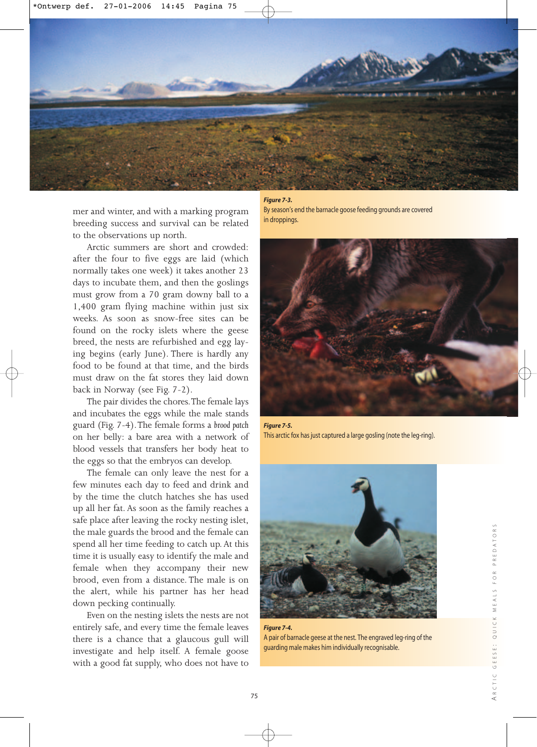

mer and winter, and with a marking program breeding success and survival can be related to the observations up north.

Arctic summers are short and crowded: after the four to five eggs are laid (which normally takes one week) it takes another 23 days to incubate them, and then the goslings must grow from a 70 gram downy ball to a 1,400 gram flying machine within just six weeks. As soon as snow-free sites can be found on the rocky islets where the geese breed, the nests are refurbished and egg laying begins (early June). There is hardly any food to be found at that time, and the birds must draw on the fat stores they laid down back in Norway (see Fig. 7-2).

The pair divides the chores.The female lays and incubates the eggs while the male stands guard (Fig. 7-4).The female forms a *brood patch* on her belly: a bare area with a network of blood vessels that transfers her body heat to the eggs so that the embryos can develop.

The female can only leave the nest for a few minutes each day to feed and drink and by the time the clutch hatches she has used up all her fat. As soon as the family reaches a safe place after leaving the rocky nesting islet, the male guards the brood and the female can spend all her time feeding to catch up. At this time it is usually easy to identify the male and female when they accompany their new brood, even from a distance. The male is on the alert, while his partner has her head down pecking continually.

Even on the nesting islets the nests are not entirely safe, and every time the female leaves there is a chance that a glaucous gull will investigate and help itself. A female goose with a good fat supply, who does not have to *Figure 7-3.*

By season's end the barnacle goose feeding grounds are covered in droppings.



*Figure 7-5.* This arctic fox has just captured a large gosling (note the leg-ring).



*Figure 7-4.* A pair of barnacle geese at the nest. The engraved leg-ring of the guarding male makes him individually recognisable.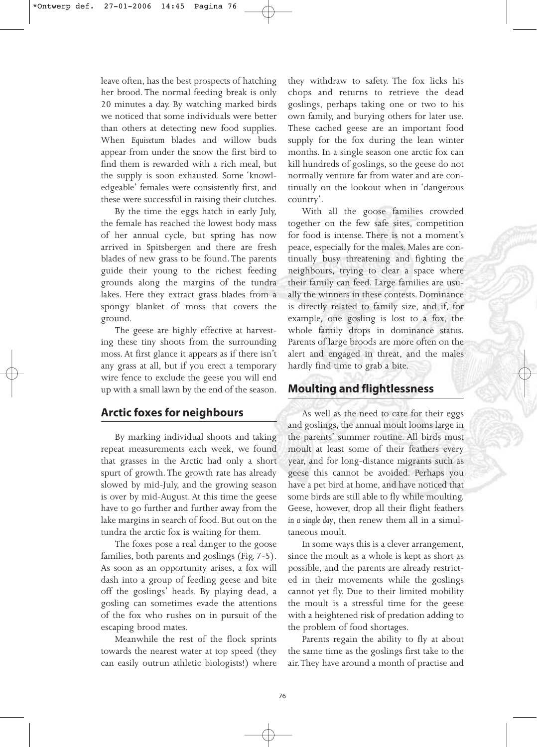leave often, has the best prospects of hatching her brood. The normal feeding break is only 20 minutes a day. By watching marked birds we noticed that some individuals were better than others at detecting new food supplies. When *Equisetum* blades and willow buds appear from under the snow the first bird to find them is rewarded with a rich meal, but the supply is soon exhausted. Some 'knowledgeable' females were consistently first, and these were successful in raising their clutches.

By the time the eggs hatch in early July, the female has reached the lowest body mass of her annual cycle, but spring has now arrived in Spitsbergen and there are fresh blades of new grass to be found. The parents guide their young to the richest feeding grounds along the margins of the tundra lakes. Here they extract grass blades from a spongy blanket of moss that covers the ground.

The geese are highly effective at harvesting these tiny shoots from the surrounding moss. At first glance it appears as if there isn't any grass at all, but if you erect a temporary wire fence to exclude the geese you will end up with a small lawn by the end of the season.

# **Arctic foxes for neighbours**

By marking individual shoots and taking repeat measurements each week, we found that grasses in the Arctic had only a short spurt of growth. The growth rate has already slowed by mid-July, and the growing season is over by mid-August. At this time the geese have to go further and further away from the lake margins in search of food. But out on the tundra the arctic fox is waiting for them.

The foxes pose a real danger to the goose families, both parents and goslings (Fig. 7-5). As soon as an opportunity arises, a fox will dash into a group of feeding geese and bite off the goslings' heads. By playing dead, a gosling can sometimes evade the attentions of the fox who rushes on in pursuit of the escaping brood mates.

Meanwhile the rest of the flock sprints towards the nearest water at top speed (they can easily outrun athletic biologists!) where

they withdraw to safety. The fox licks his chops and returns to retrieve the dead goslings, perhaps taking one or two to his own family, and burying others for later use. These cached geese are an important food supply for the fox during the lean winter months. In a single season one arctic fox can kill hundreds of goslings, so the geese do not normally venture far from water and are continually on the lookout when in 'dangerous country'.

With all the goose families crowded together on the few safe sites, competition for food is intense. There is not a moment's peace, especially for the males. Males are continually busy threatening and fighting the neighbours, trying to clear a space where their family can feed. Large families are usually the winners in these contests. Dominance is directly related to family size, and if, for example, one gosling is lost to a fox, the whole family drops in dominance status. Parents of large broods are more often on the alert and engaged in threat, and the males hardly find time to grab a bite.

## **Moulting and flightlessness**

As well as the need to care for their eggs and goslings, the annual moult looms large in the parents' summer routine. All birds must moult at least some of their feathers every year, and for long-distance migrants such as geese this cannot be avoided. Perhaps you have a pet bird at home, and have noticed that some birds are still able to fly while moulting. Geese, however, drop all their flight feathers *in a single day*, then renew them all in a simultaneous moult.

In some ways this is a clever arrangement, since the moult as a whole is kept as short as possible, and the parents are already restricted in their movements while the goslings cannot yet fly. Due to their limited mobility the moult is a stressful time for the geese with a heightened risk of predation adding to the problem of food shortages.

Parents regain the ability to fly at about the same time as the goslings first take to the air.They have around a month of practise and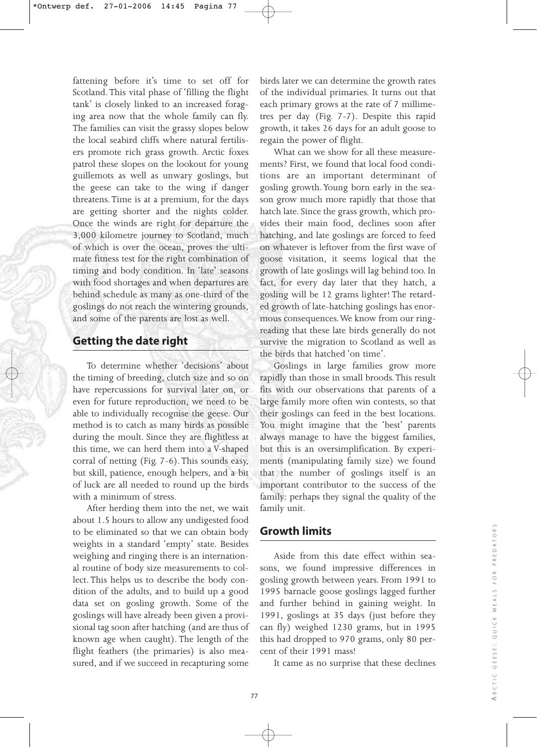fattening before it's time to set off for Scotland. This vital phase of 'filling the flight tank' is closely linked to an increased foraging area now that the whole family can fly. The families can visit the grassy slopes below the local seabird cliffs where natural fertilisers promote rich grass growth. Arctic foxes patrol these slopes on the lookout for young guillemots as well as unwary goslings, but the geese can take to the wing if danger threatens. Time is at a premium, for the days are getting shorter and the nights colder. Once the winds are right for departure the 3,000 kilometre journey to Scotland, much of which is over the ocean, proves the ultimate fitness test for the right combination of timing and body condition. In 'late' seasons with food shortages and when departures are behind schedule as many as one-third of the goslings do not reach the wintering grounds, and some of the parents are lost as well.

## **Getting the date right**

To determine whether 'decisions' about the timing of breeding, clutch size and so on have repercussions for survival later on, or even for future reproduction, we need to be able to individually recognise the geese. Our method is to catch as many birds as possible during the moult. Since they are flightless at this time, we can herd them into a V-shaped corral of netting (Fig. 7-6). This sounds easy, but skill, patience, enough helpers, and a bit of luck are all needed to round up the birds with a minimum of stress.

After herding them into the net, we wait about 1.5 hours to allow any undigested food to be eliminated so that we can obtain body weights in a standard 'empty' state. Besides weighing and ringing there is an international routine of body size measurements to collect. This helps us to describe the body condition of the adults, and to build up a good data set on gosling growth. Some of the goslings will have already been given a provisional tag soon after hatching (and are thus of known age when caught). The length of the flight feathers (the primaries) is also measured, and if we succeed in recapturing some

birds later we can determine the growth rates of the individual primaries. It turns out that each primary grows at the rate of 7 millimetres per day (Fig. 7-7). Despite this rapid growth, it takes 26 days for an adult goose to regain the power of flight.

What can we show for all these measurements? First, we found that local food conditions are an important determinant of gosling growth.Young born early in the season grow much more rapidly that those that hatch late. Since the grass growth, which provides their main food, declines soon after hatching, and late goslings are forced to feed on whatever is leftover from the first wave of goose visitation, it seems logical that the growth of late goslings will lag behind too. In fact, for every day later that they hatch, a gosling will be 12 grams lighter! The retarded growth of late-hatching goslings has enormous consequences.We know from our ringreading that these late birds generally do not survive the migration to Scotland as well as the birds that hatched 'on time'.

Goslings in large families grow more rapidly than those in small broods.This result fits with our observations that parents of a large family more often win contests, so that their goslings can feed in the best locations. You might imagine that the 'best' parents always manage to have the biggest families, but this is an oversimplification. By experiments (manipulating family size) we found that the number of goslings itself is an important contributor to the success of the family: perhaps they signal the quality of the family unit.

# **Growth limits**

Aside from this date effect within seasons, we found impressive differences in gosling growth between years. From 1991 to 1995 barnacle goose goslings lagged further and further behind in gaining weight. In 1991, goslings at 35 days (just before they can fly) weighed 1230 grams, but in 1995 this had dropped to 970 grams, only 80 percent of their 1991 mass!

It came as no surprise that these declines